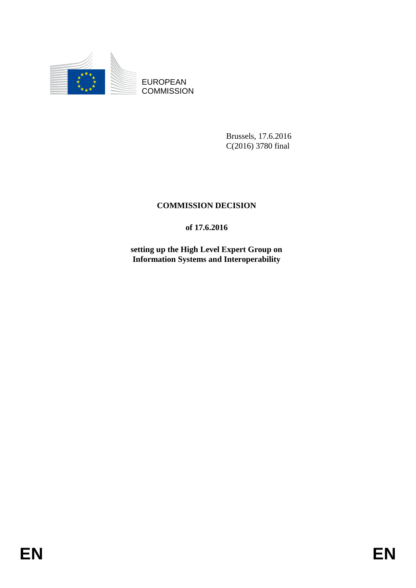

EUROPEAN **COMMISSION** 

> Brussels, 17.6.2016 C(2016) 3780 final

# **COMMISSION DECISION**

## **of 17.6.2016**

**setting up the High Level Expert Group on Information Systems and Interoperability**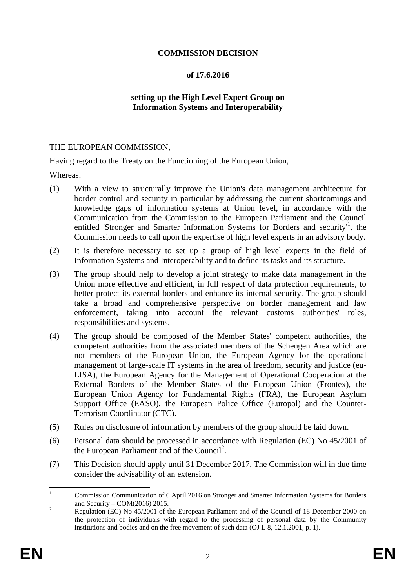### **COMMISSION DECISION**

#### **of 17.6.2016**

### **setting up the High Level Expert Group on Information Systems and Interoperability**

#### THE EUROPEAN COMMISSION,

Having regard to the Treaty on the Functioning of the European Union,

Whereas:

- (1) With a view to structurally improve the Union's data management architecture for border control and security in particular by addressing the current shortcomings and knowledge gaps of information systems at Union level, in accordance with the Communication from the Commission to the European Parliament and the Council entitled 'Stronger and Smarter Information Systems for Borders and security<sup>1</sup>, the Commission needs to call upon the expertise of high level experts in an advisory body.
- (2) It is therefore necessary to set up a group of high level experts in the field of Information Systems and Interoperability and to define its tasks and its structure.
- (3) The group should help to develop a joint strategy to make data management in the Union more effective and efficient, in full respect of data protection requirements, to better protect its external borders and enhance its internal security. The group should take a broad and comprehensive perspective on border management and law enforcement, taking into account the relevant customs authorities' roles, responsibilities and systems.
- (4) The group should be composed of the Member States' competent authorities, the competent authorities from the associated members of the Schengen Area which are not members of the European Union, the European Agency for the operational management of large-scale IT systems in the area of freedom, security and justice (eu-LISA), the European Agency for the Management of Operational Cooperation at the External Borders of the Member States of the European Union (Frontex), the European Union Agency for Fundamental Rights (FRA), the European Asylum Support Office (EASO), the European Police Office (Europol) and the Counter-Terrorism Coordinator (CTC).
- (5) Rules on disclosure of information by members of the group should be laid down.
- (6) Personal data should be processed in accordance with Regulation (EC) No 45/2001 of the European Parliament and of the Council<sup>2</sup>.
- (7) This Decision should apply until 31 December 2017. The Commission will in due time consider the advisability of an extension.

 $\mathbf{1}$ <sup>1</sup> Commission Communication of 6 April 2016 on Stronger and Smarter Information Systems for Borders and Security – COM(2016) 2015.

<sup>&</sup>lt;sup>2</sup> Regulation (EC) No 45/2001 of the European Parliament and of the Council of 18 December 2000 on the protection of individuals with regard to the processing of personal data by the Community institutions and bodies and on the free movement of such data (OJ L 8, 12.1.2001, p. 1).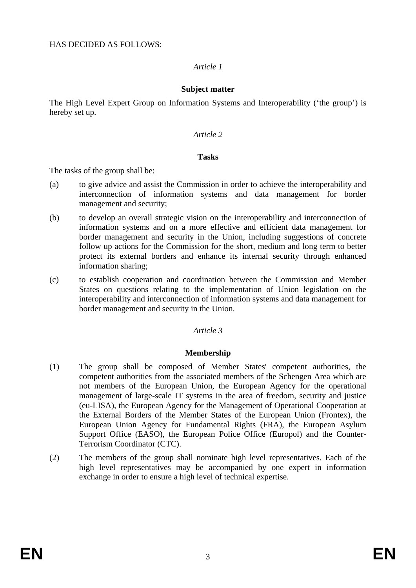#### *Article 1*

#### **Subject matter**

The High Level Expert Group on Information Systems and Interoperability ('the group') is hereby set up.

### *Article 2*

#### **Tasks**

The tasks of the group shall be:

- (a) to give advice and assist the Commission in order to achieve the interoperability and interconnection of information systems and data management for border management and security;
- (b) to develop an overall strategic vision on the interoperability and interconnection of information systems and on a more effective and efficient data management for border management and security in the Union, including suggestions of concrete follow up actions for the Commission for the short, medium and long term to better protect its external borders and enhance its internal security through enhanced information sharing;
- (c) to establish cooperation and coordination between the Commission and Member States on questions relating to the implementation of Union legislation on the interoperability and interconnection of information systems and data management for border management and security in the Union.

#### *Article 3*

#### **Membership**

- (1) The group shall be composed of Member States' competent authorities, the competent authorities from the associated members of the Schengen Area which are not members of the European Union, the European Agency for the operational management of large-scale IT systems in the area of freedom, security and justice (eu-LISA), the European Agency for the Management of Operational Cooperation at the External Borders of the Member States of the European Union (Frontex), the European Union Agency for Fundamental Rights (FRA), the European Asylum Support Office (EASO), the European Police Office (Europol) and the Counter-Terrorism Coordinator (CTC).
- (2) The members of the group shall nominate high level representatives. Each of the high level representatives may be accompanied by one expert in information exchange in order to ensure a high level of technical expertise.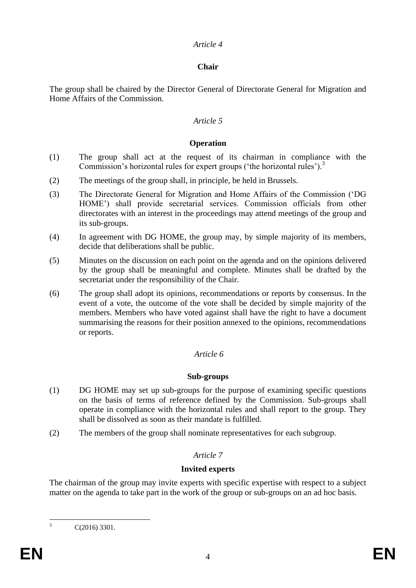### *Article 4*

## **Chair**

The group shall be chaired by the Director General of Directorate General for Migration and Home Affairs of the Commission.

### *Article 5*

### **Operation**

- (1) The group shall act at the request of its chairman in compliance with the Commission's horizontal rules for expert groups ('the horizontal rules').<sup>3</sup>
- (2) The meetings of the group shall, in principle, be held in Brussels.
- (3) The Directorate General for Migration and Home Affairs of the Commission ('DG HOME') shall provide secretarial services. Commission officials from other directorates with an interest in the proceedings may attend meetings of the group and its sub-groups.
- (4) In agreement with DG HOME, the group may, by simple majority of its members, decide that deliberations shall be public.
- (5) Minutes on the discussion on each point on the agenda and on the opinions delivered by the group shall be meaningful and complete. Minutes shall be drafted by the secretariat under the responsibility of the Chair.
- (6) The group shall adopt its opinions, recommendations or reports by consensus. In the event of a vote, the outcome of the vote shall be decided by simple majority of the members. Members who have voted against shall have the right to have a document summarising the reasons for their position annexed to the opinions, recommendations or reports.

## *Article 6*

#### **Sub-groups**

- (1) DG HOME may set up sub-groups for the purpose of examining specific questions on the basis of terms of reference defined by the Commission. Sub-groups shall operate in compliance with the horizontal rules and shall report to the group. They shall be dissolved as soon as their mandate is fulfilled.
- (2) The members of the group shall nominate representatives for each subgroup.

## *Article 7*

## **Invited experts**

The chairman of the group may invite experts with specific expertise with respect to a subject matter on the agenda to take part in the work of the group or sub-groups on an ad hoc basis.

 $\overline{3}$ 

C(2016) 3301.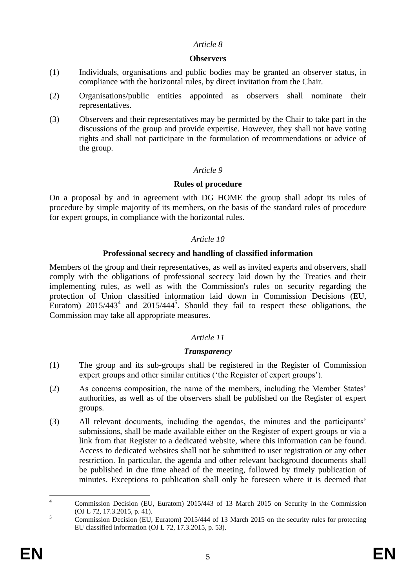#### *Article 8*

#### **Observers**

- (1) Individuals, organisations and public bodies may be granted an observer status, in compliance with the horizontal rules, by direct invitation from the Chair.
- (2) Organisations/public entities appointed as observers shall nominate their representatives.
- (3) Observers and their representatives may be permitted by the Chair to take part in the discussions of the group and provide expertise. However, they shall not have voting rights and shall not participate in the formulation of recommendations or advice of the group.

#### *Article 9*

#### **Rules of procedure**

On a proposal by and in agreement with DG HOME the group shall adopt its rules of procedure by simple majority of its members, on the basis of the standard rules of procedure for expert groups, in compliance with the horizontal rules.

#### *Article 10*

#### **Professional secrecy and handling of classified information**

Members of the group and their representatives, as well as invited experts and observers, shall comply with the obligations of professional secrecy laid down by the Treaties and their implementing rules, as well as with the Commission's rules on security regarding the protection of Union classified information laid down in Commission Decisions (EU, Euratom)  $2015/443^4$  and  $2015/444^5$ . Should they fail to respect these obligations, the Commission may take all appropriate measures.

## *Article 11*

#### *Transparency*

- (1) The group and its sub-groups shall be registered in the Register of Commission expert groups and other similar entities ('the Register of expert groups').
- (2) As concerns composition, the name of the members, including the Member States' authorities, as well as of the observers shall be published on the Register of expert groups.
- (3) All relevant documents, including the agendas, the minutes and the participants' submissions, shall be made available either on the Register of expert groups or via a link from that Register to a dedicated website, where this information can be found. Access to dedicated websites shall not be submitted to user registration or any other restriction. In particular, the agenda and other relevant background documents shall be published in due time ahead of the meeting, followed by timely publication of minutes. Exceptions to publication shall only be foreseen where it is deemed that

 $\overline{A}$ <sup>4</sup> Commission Decision (EU, Euratom) 2015/443 of 13 March 2015 on Security in the Commission (OJ L 72, 17.3.2015, p. 41).

 $\frac{5}{2}$  Commission Decision (EU, Euratom) 2015/444 of 13 March 2015 on the security rules for protecting EU classified information (OJ L 72, 17.3.2015, p. 53).